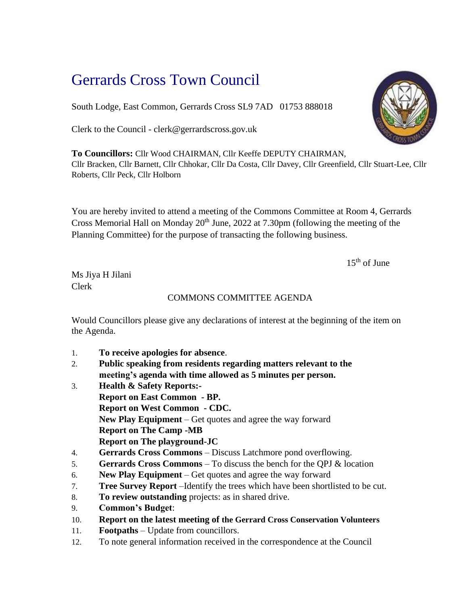## Gerrards Cross Town Council

South Lodge, East Common, Gerrards Cross SL9 7AD 01753 888018

Clerk to the Council - clerk@gerrardscross.gov.uk

**To Councillors:** Cllr Wood CHAIRMAN, Cllr Keeffe DEPUTY CHAIRMAN, Cllr Bracken, Cllr Barnett, Cllr Chhokar, Cllr Da Costa, Cllr Davey, Cllr Greenfield, Cllr Stuart-Lee, Cllr Roberts, Cllr Peck, Cllr Holborn

You are hereby invited to attend a meeting of the Commons Committee at Room 4, Gerrards Cross Memorial Hall on Monday  $20<sup>th</sup>$  June, 2022 at 7.30pm (following the meeting of the Planning Committee) for the purpose of transacting the following business.

 $15<sup>th</sup>$  of June

Ms Jiya H Jilani Clerk

## COMMONS COMMITTEE AGENDA

Would Councillors please give any declarations of interest at the beginning of the item on the Agenda.

- 1. **To receive apologies for absence**.
- 2. **Public speaking from residents regarding matters relevant to the meeting's agenda with time allowed as 5 minutes per person.**
- 3. **Health & Safety Reports:- Report on East Common - BP. Report on West Common - CDC. New Play Equipment** – Get quotes and agree the way forward **Report on The Camp -MB Report on The playground-JC**
- 4. **Gerrards Cross Commons** Discuss Latchmore pond overflowing.
- 5. **Gerrards Cross Commons** To discuss the bench for the QPJ & location
- 6. **New Play Equipment** Get quotes and agree the way forward
- 7. **Tree Survey Report** –Identify the trees which have been shortlisted to be cut.
- 8. **To review outstanding** projects: as in shared drive.
- 9. **Common's Budget**:
- 10. **Report on the latest meeting of the Gerrard Cross Conservation Volunteers**
- 11. **Footpaths** Update from councillors.
- 12. To note general information received in the correspondence at the Council